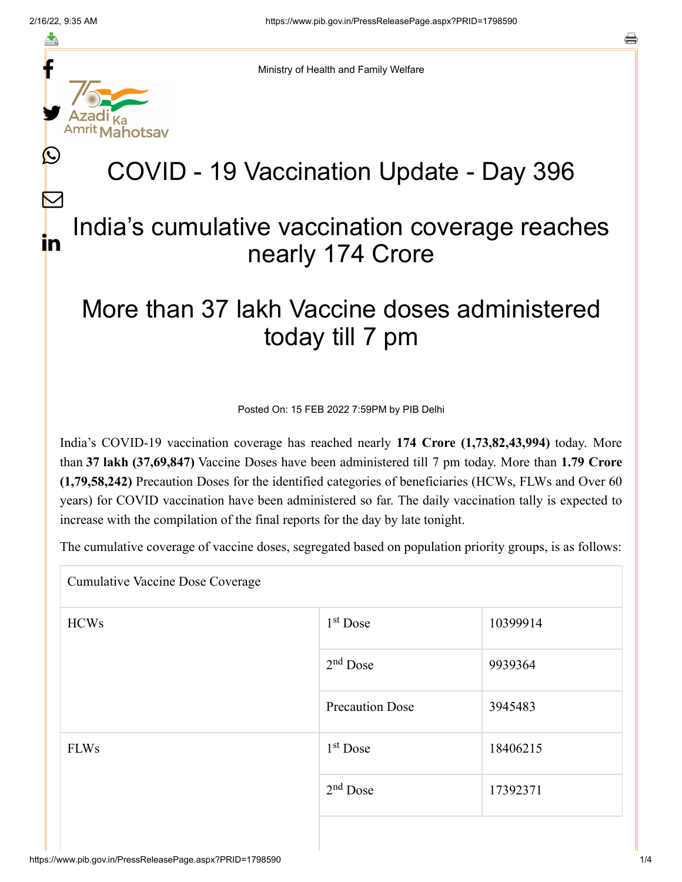f

≛

y.

L

 $\bm{\nabla}$ 

in



# COVID - 19 Vaccination Update - Day 396

### India's cumulative vaccination coverage reaches nearly 174 Crore

## More than 37 lakh Vaccine doses administered today till 7 pm

Posted On: 15 FEB 2022 7:59PM by PIB Delhi

India's COVID-19 vaccination coverage has reached nearly **174 Crore (1,73,82,43,994)** today. More than **37 lakh (37,69,847)** Vaccine Doses have been administered till 7 pm today. More than **1.79 Crore (1,79,58,242)** Precaution Doses for the identified categories of beneficiaries (HCWs, FLWs and Over 60 years) for COVID vaccination have been administered so far. The daily vaccination tally is expected to increase with the compilation of the final reports for the day by late tonight.

The cumulative coverage of vaccine doses, segregated based on population priority groups, is as follows:

Cumulative Vaccine Dose Coverage

| <b>HCWs</b> | $1st$ Dose             | 10399914 |
|-------------|------------------------|----------|
|             | $2nd$ Dose             | 9939364  |
|             | <b>Precaution Dose</b> | 3945483  |
| <b>FLWs</b> | $1st$ Dose             | 18406215 |
|             | $2nd$ Dose             | 17392371 |
|             |                        |          |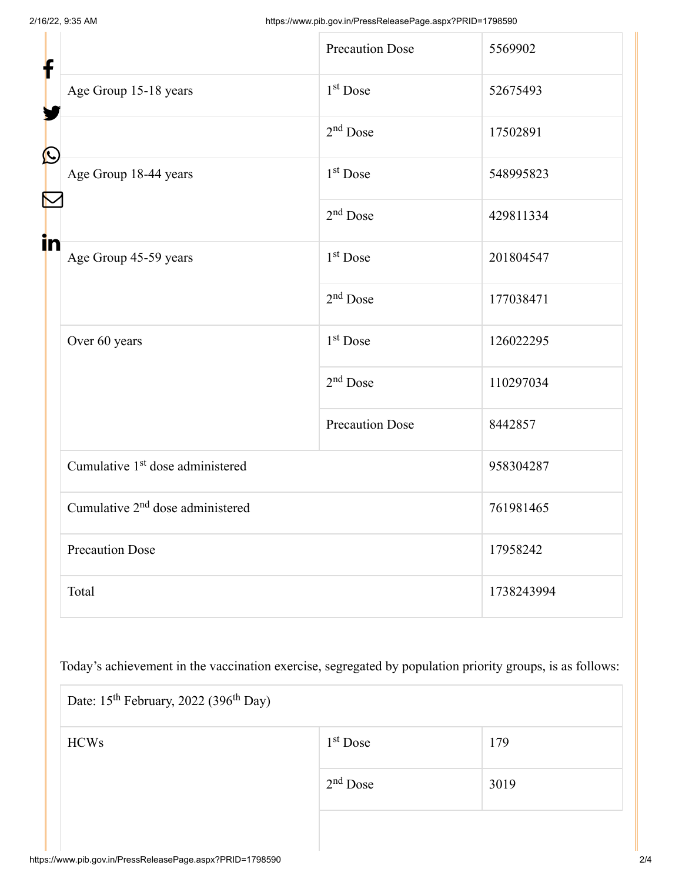| f            |                                              | <b>Precaution Dose</b> | 5569902    |  |
|--------------|----------------------------------------------|------------------------|------------|--|
|              | Age Group 15-18 years                        | 1 <sup>st</sup> Dose   | 52675493   |  |
| $\bf \Omega$ |                                              | $2nd$ Dose             | 17502891   |  |
|              | Age Group 18-44 years                        | 1 <sup>st</sup> Dose   | 548995823  |  |
|              |                                              | $2nd$ Dose             | 429811334  |  |
| in           | Age Group 45-59 years                        | 1 <sup>st</sup> Dose   | 201804547  |  |
|              |                                              | $2nd$ Dose             | 177038471  |  |
|              | Over 60 years                                | $1st$ Dose             | 126022295  |  |
|              |                                              | $2nd$ Dose             | 110297034  |  |
|              |                                              | <b>Precaution Dose</b> | 8442857    |  |
|              | Cumulative 1 <sup>st</sup> dose administered |                        | 958304287  |  |
|              | Cumulative 2 <sup>nd</sup> dose administered |                        | 761981465  |  |
|              | <b>Precaution Dose</b>                       |                        | 17958242   |  |
|              | Total                                        |                        | 1738243994 |  |

Today's achievement in the vaccination exercise, segregated by population priority groups, is as follows:

| Date: 15 <sup>th</sup> February, 2022 (396 <sup>th</sup> Day) |            |      |  |  |
|---------------------------------------------------------------|------------|------|--|--|
| <b>HCWs</b>                                                   | $1st$ Dose | 179  |  |  |
|                                                               | $2nd$ Dose | 3019 |  |  |
|                                                               |            |      |  |  |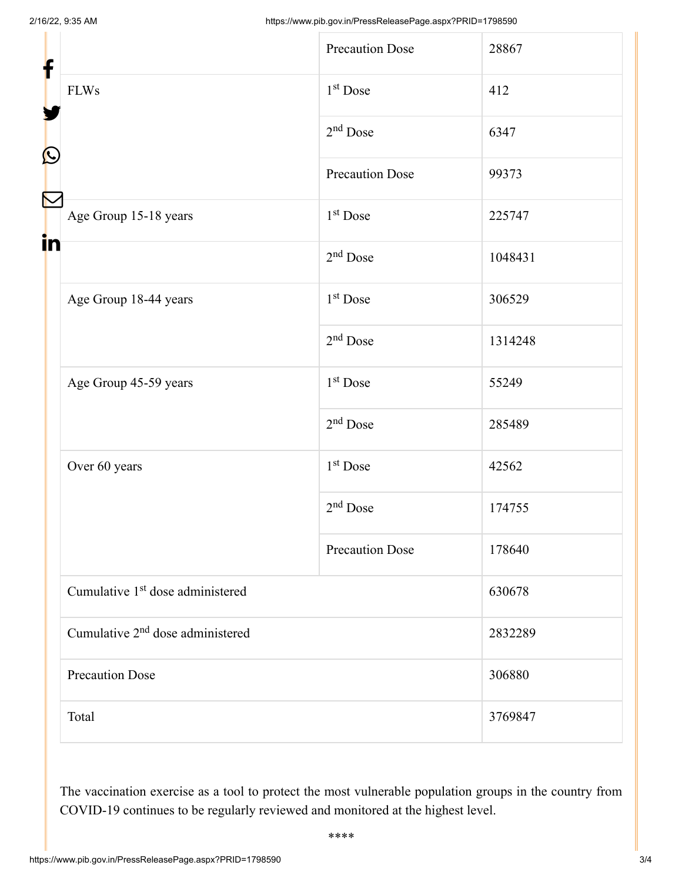| f<br>$\mathbf{\Omega}$ |                                              | <b>Precaution Dose</b> | 28867   |
|------------------------|----------------------------------------------|------------------------|---------|
|                        | <b>FLWs</b>                                  | 1 <sup>st</sup> Dose   | 412     |
|                        |                                              | $2nd$ Dose             | 6347    |
|                        |                                              | <b>Precaution Dose</b> | 99373   |
|                        | Age Group 15-18 years                        | $1st$ Dose             | 225747  |
| in                     |                                              | $2nd$ Dose             | 1048431 |
|                        | Age Group 18-44 years                        | $1^\mathrm{st}$ Dose   | 306529  |
|                        |                                              | $2nd$ Dose             | 1314248 |
|                        | Age Group 45-59 years                        | 1 <sup>st</sup> Dose   | 55249   |
|                        |                                              | $2nd$ Dose             | 285489  |
|                        | Over 60 years                                | 1 <sup>st</sup> Dose   | 42562   |
|                        |                                              | $2nd$ Dose             | 174755  |
|                        |                                              | <b>Precaution Dose</b> | 178640  |
|                        | Cumulative 1 <sup>st</sup> dose administered |                        | 630678  |
|                        | Cumulative 2 <sup>nd</sup> dose administered |                        | 2832289 |
|                        | <b>Precaution Dose</b>                       |                        | 306880  |
|                        | Total                                        |                        | 3769847 |

The vaccination exercise as a tool to protect the most vulnerable population groups in the country from COVID-19 continues to be regularly reviewed and monitored at the highest level.